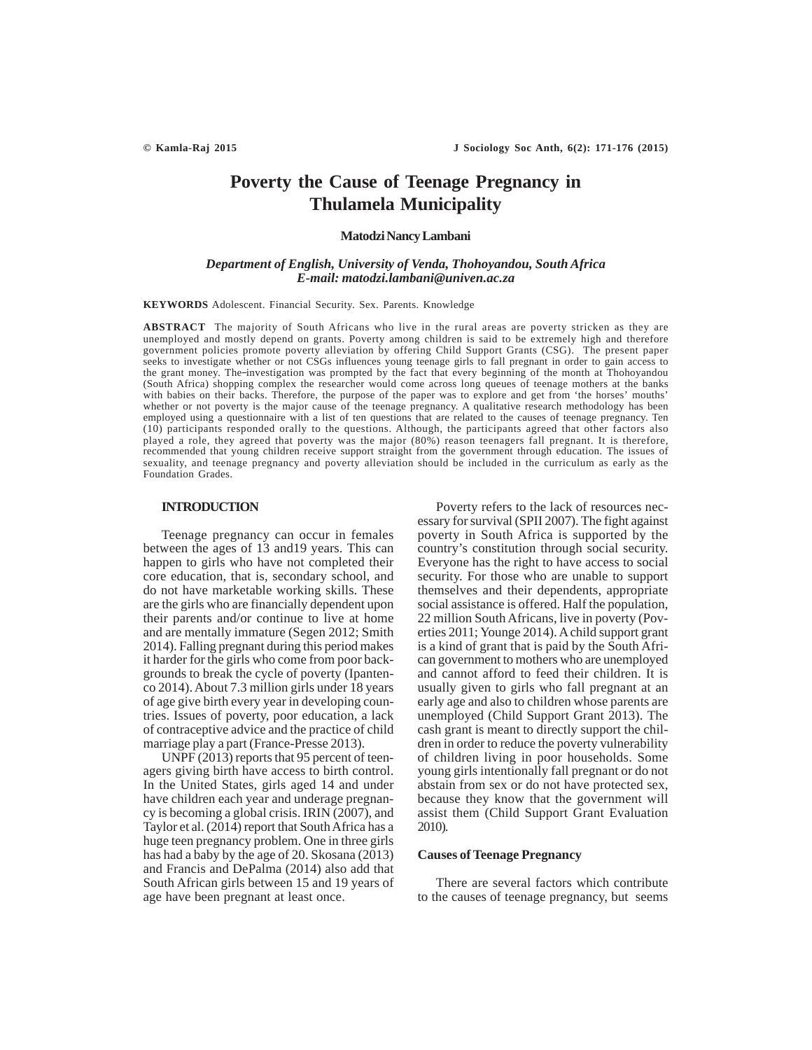# **Poverty the Cause of Teenage Pregnancy in Thulamela Municipality**

# **Matodzi Nancy Lambani**

# *Department of English, University of Venda, Thohoyandou, South Africa E-mail: matodzi.lambani@univen.ac.za*

**KEYWORDS** Adolescent. Financial Security. Sex. Parents. Knowledge

**ABSTRACT** The majority of South Africans who live in the rural areas are poverty stricken as they are unemployed and mostly depend on grants. Poverty among children is said to be extremely high and therefore government policies promote poverty alleviation by offering Child Support Grants (CSG). The present paper seeks to investigate whether or not CSGs influences young teenage girls to fall pregnant in order to gain access to the grant money. The investigation was prompted by the fact that every beginning of the month at Thohoyandou (South Africa) shopping complex the researcher would come across long queues of teenage mothers at the banks with babies on their backs. Therefore, the purpose of the paper was to explore and get from 'the horses' mouths' whether or not poverty is the major cause of the teenage pregnancy. A qualitative research methodology has been employed using a questionnaire with a list of ten questions that are related to the causes of teenage pregnancy. Ten (10) participants responded orally to the questions. Although, the participants agreed that other factors also played a role, they agreed that poverty was the major (80%) reason teenagers fall pregnant. It is therefore, recommended that young children receive support straight from the government through education. The issues of sexuality, and teenage pregnancy and poverty alleviation should be included in the curriculum as early as the Foundation Grades.

## **INTRODUCTION**

Teenage pregnancy can occur in females between the ages of 13 and19 years. This can happen to girls who have not completed their core education, that is, secondary school, and do not have marketable working skills. These are the girls who are financially dependent upon their parents and/or continue to live at home and are mentally immature (Segen 2012; Smith 2014). Falling pregnant during this period makes it harder for the girls who come from poor backgrounds to break the cycle of poverty (Ipantenco 2014). About 7.3 million girls under 18 years of age give birth every year in developing countries. Issues of poverty, poor education, a lack of contraceptive advice and the practice of child marriage play a part (France-Presse 2013).

UNPF (2013) reports that 95 percent of teenagers giving birth have access to birth control. In the United States, girls aged 14 and under have children each year and underage pregnancy is becoming a global crisis. IRIN (2007), and Taylor et al. (2014) report that South Africa has a huge teen pregnancy problem. One in three girls has had a baby by the age of 20. Skosana (2013) and Francis and DePalma (2014) also add that South African girls between 15 and 19 years of age have been pregnant at least once.

Poverty refers to the lack of resources necessary for survival (SPII 2007). The fight against poverty in South Africa is supported by the country's constitution through social security. Everyone has the right to have access to social security. For those who are unable to support themselves and their dependents, appropriate social assistance is offered. Half the population, 22 million South Africans, live in poverty (Poverties 2011; Younge 2014). A child support grant is a kind of grant that is paid by the South African government to mothers who are unemployed and cannot afford to feed their children. It is usually given to girls who fall pregnant at an early age and also to children whose parents are unemployed (Child Support Grant 2013). The cash grant is meant to directly support the children in order to reduce the poverty vulnerability of children living in poor households. Some young girls intentionally fall pregnant or do not abstain from sex or do not have protected sex, because they know that the government will assist them (Child Support Grant Evaluation 2010).

## **Causes of Teenage Pregnancy**

There are several factors which contribute to the causes of teenage pregnancy, but seems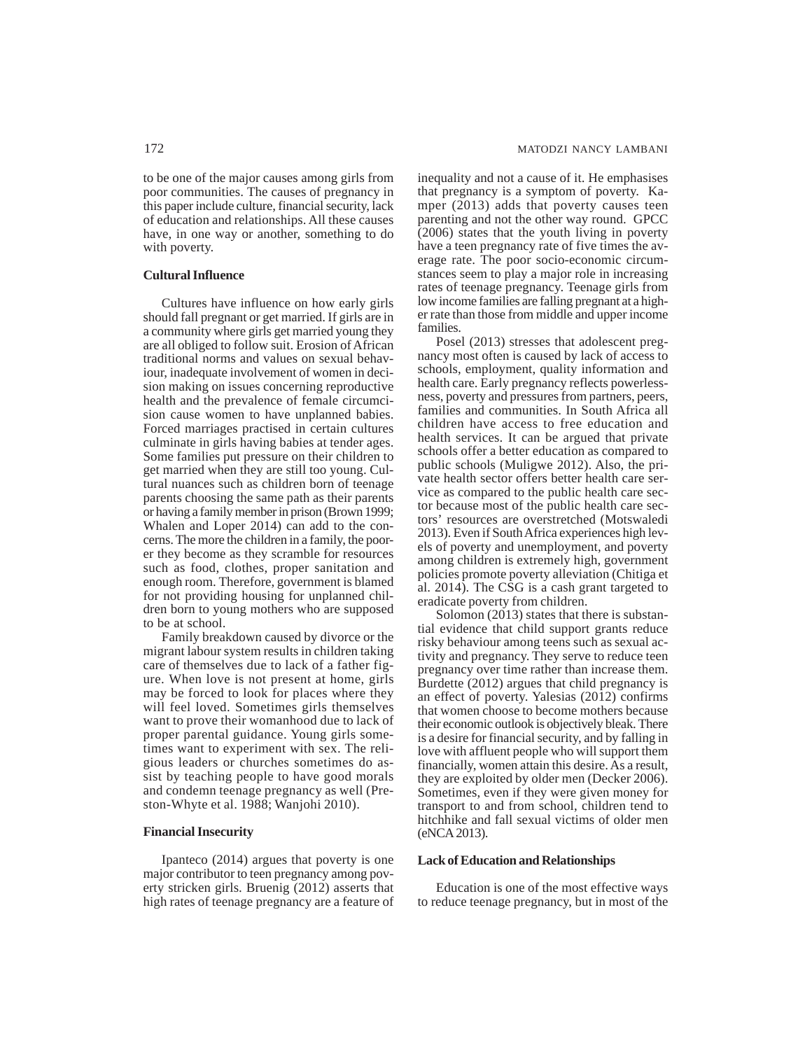to be one of the major causes among girls from poor communities. The causes of pregnancy in this paper include culture, financial security, lack of education and relationships. All these causes have, in one way or another, something to do with poverty.

## **Cultural Influence**

Cultures have influence on how early girls should fall pregnant or get married. If girls are in a community where girls get married young they are all obliged to follow suit. Erosion of African traditional norms and values on sexual behaviour, inadequate involvement of women in decision making on issues concerning reproductive health and the prevalence of female circumcision cause women to have unplanned babies. Forced marriages practised in certain cultures culminate in girls having babies at tender ages. Some families put pressure on their children to get married when they are still too young. Cultural nuances such as children born of teenage parents choosing the same path as their parents or having a family member in prison (Brown 1999; Whalen and Loper 2014) can add to the concerns. The more the children in a family, the poorer they become as they scramble for resources such as food, clothes, proper sanitation and enough room. Therefore, government is blamed for not providing housing for unplanned children born to young mothers who are supposed to be at school.

Family breakdown caused by divorce or the migrant labour system results in children taking care of themselves due to lack of a father figure. When love is not present at home, girls may be forced to look for places where they will feel loved. Sometimes girls themselves want to prove their womanhood due to lack of proper parental guidance. Young girls sometimes want to experiment with sex. The religious leaders or churches sometimes do assist by teaching people to have good morals and condemn teenage pregnancy as well (Preston-Whyte et al. 1988; Wanjohi 2010).

# **Financial Insecurity**

Ipanteco (2014) argues that poverty is one major contributor to teen pregnancy among poverty stricken girls. Bruenig (2012) asserts that high rates of teenage pregnancy are a feature of inequality and not a cause of it. He emphasises that pregnancy is a symptom of poverty. Kamper (2013) adds that poverty causes teen parenting and not the other way round. GPCC (2006) states that the youth living in poverty have a teen pregnancy rate of five times the average rate. The poor socio-economic circumstances seem to play a major role in increasing rates of teenage pregnancy. Teenage girls from low income families are falling pregnant at a higher rate than those from middle and upper income families.

Posel (2013) stresses that adolescent pregnancy most often is caused by lack of access to schools, employment, quality information and health care. Early pregnancy reflects powerlessness, poverty and pressures from partners, peers, families and communities. In South Africa all children have access to free education and health services. It can be argued that private schools offer a better education as compared to public schools (Muligwe 2012). Also, the private health sector offers better health care service as compared to the public health care sector because most of the public health care sectors' resources are overstretched (Motswaledi 2013). Even if South Africa experiences high levels of poverty and unemployment, and poverty among children is extremely high, government policies promote poverty alleviation (Chitiga et al. 2014). The CSG is a cash grant targeted to eradicate poverty from children.

Solomon (2013) states that there is substantial evidence that child support grants reduce risky behaviour among teens such as sexual activity and pregnancy. They serve to reduce teen pregnancy over time rather than increase them. Burdette (2012) argues that child pregnancy is an effect of poverty. Yalesias (2012) confirms that women choose to become mothers because their economic outlook is objectively bleak. There is a desire for financial security, and by falling in love with affluent people who will support them financially, women attain this desire. As a result, they are exploited by older men (Decker 2006). Sometimes, even if they were given money for transport to and from school, children tend to hitchhike and fall sexual victims of older men (eNCA 2013).

### **Lack of Education and Relationships**

Education is one of the most effective ways to reduce teenage pregnancy, but in most of the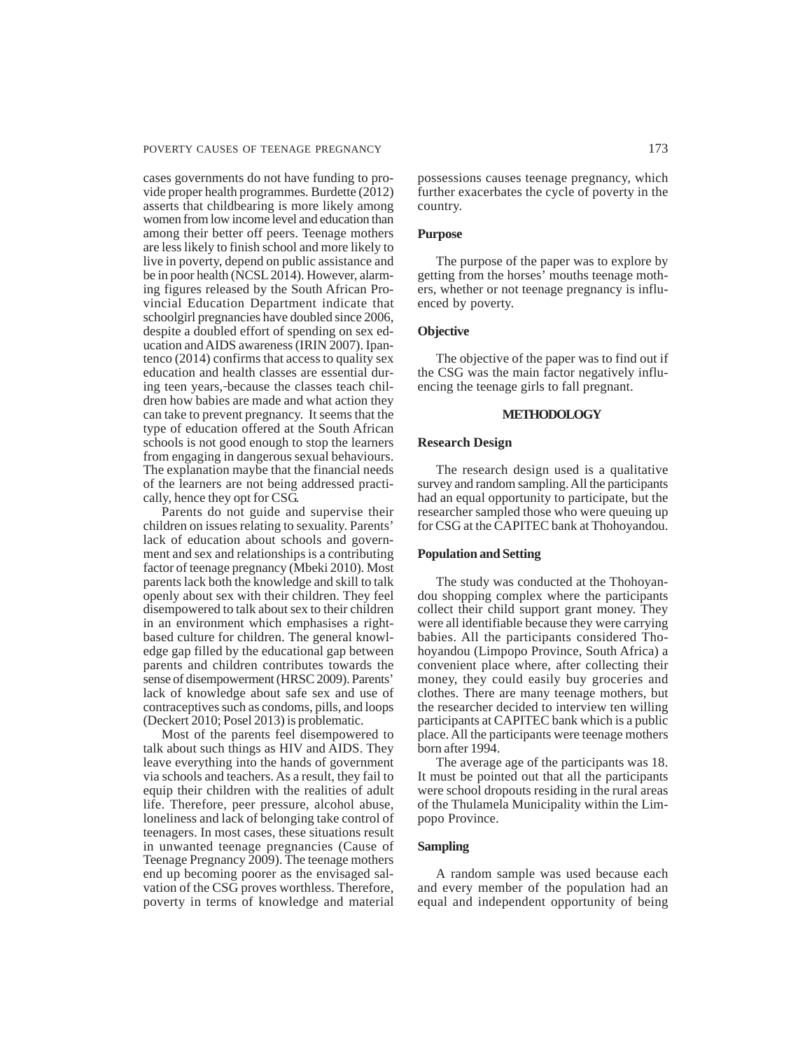cases governments do not have funding to provide proper health programmes. Burdette (2012) asserts that childbearing is more likely among women from low income level and education than among their better off peers. Teenage mothers are less likely to finish school and more likely to live in poverty, depend on public assistance and be in poor health (NCSL 2014). However, alarming figures released by the South African Provincial Education Department indicate that schoolgirl pregnancies have doubled since 2006, despite a doubled effort of spending on sex education and AIDS awareness (IRIN 2007). Ipantenco (2014) confirms that access to quality sex education and health classes are essential during teen years, because the classes teach children how babies are made and what action they can take to prevent pregnancy. It seems that the type of education offered at the South African schools is not good enough to stop the learners from engaging in dangerous sexual behaviours. The explanation maybe that the financial needs of the learners are not being addressed practically, hence they opt for CSG.

Parents do not guide and supervise their children on issues relating to sexuality. Parents' lack of education about schools and government and sex and relationships is a contributing factor of teenage pregnancy (Mbeki 2010). Most parents lack both the knowledge and skill to talk openly about sex with their children. They feel disempowered to talk about sex to their children in an environment which emphasises a rightbased culture for children. The general knowledge gap filled by the educational gap between parents and children contributes towards the sense of disempowerment (HRSC 2009). Parents' lack of knowledge about safe sex and use of contraceptives such as condoms, pills, and loops (Deckert 2010; Posel 2013) is problematic.

Most of the parents feel disempowered to talk about such things as HIV and AIDS. They leave everything into the hands of government via schools and teachers. As a result, they fail to equip their children with the realities of adult life. Therefore, peer pressure, alcohol abuse, loneliness and lack of belonging take control of teenagers. In most cases, these situations result in unwanted teenage pregnancies (Cause of Teenage Pregnancy 2009). The teenage mothers end up becoming poorer as the envisaged salvation of the CSG proves worthless. Therefore, poverty in terms of knowledge and material possessions causes teenage pregnancy, which further exacerbates the cycle of poverty in the country.

# **Purpose**

The purpose of the paper was to explore by getting from the horses' mouths teenage mothers, whether or not teenage pregnancy is influenced by poverty.

# **Objective**

The objective of the paper was to find out if the CSG was the main factor negatively influencing the teenage girls to fall pregnant.

# **METHODOLOGY**

#### **Research Design**

The research design used is a qualitative survey and random sampling. All the participants had an equal opportunity to participate, but the researcher sampled those who were queuing up for CSG at the CAPITEC bank at Thohoyandou.

## **Population and Setting**

The study was conducted at the Thohoyandou shopping complex where the participants collect their child support grant money. They were all identifiable because they were carrying babies. All the participants considered Thohoyandou (Limpopo Province, South Africa) a convenient place where, after collecting their money, they could easily buy groceries and clothes. There are many teenage mothers, but the researcher decided to interview ten willing participants at CAPITEC bank which is a public place. All the participants were teenage mothers born after 1994.

The average age of the participants was 18. It must be pointed out that all the participants were school dropouts residing in the rural areas of the Thulamela Municipality within the Limpopo Province.

# **Sampling**

A random sample was used because each and every member of the population had an equal and independent opportunity of being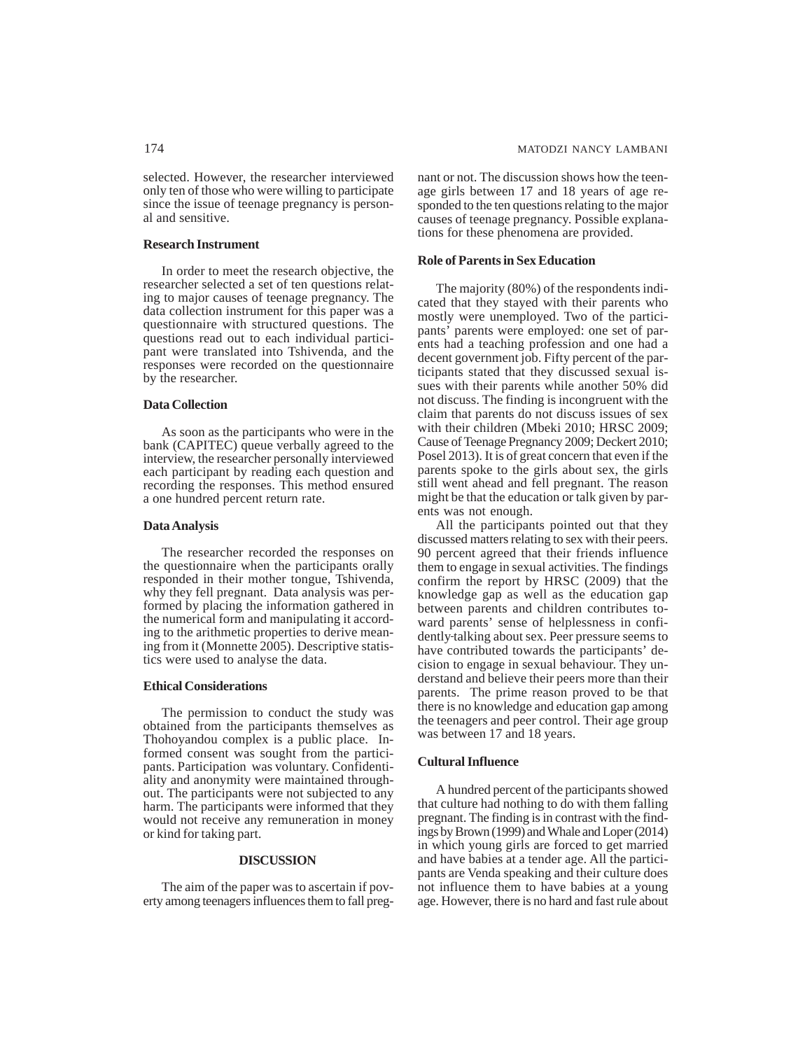selected. However, the researcher interviewed only ten of those who were willing to participate since the issue of teenage pregnancy is personal and sensitive.

## **Research Instrument**

In order to meet the research objective, the researcher selected a set of ten questions relating to major causes of teenage pregnancy. The data collection instrument for this paper was a questionnaire with structured questions. The questions read out to each individual participant were translated into Tshivenda, and the responses were recorded on the questionnaire by the researcher.

#### **Data Collection**

As soon as the participants who were in the bank (CAPITEC) queue verbally agreed to the interview, the researcher personally interviewed each participant by reading each question and recording the responses. This method ensured a one hundred percent return rate.

## **Data Analysis**

The researcher recorded the responses on the questionnaire when the participants orally responded in their mother tongue, Tshivenda, why they fell pregnant. Data analysis was performed by placing the information gathered in the numerical form and manipulating it according to the arithmetic properties to derive meaning from it (Monnette 2005). Descriptive statistics were used to analyse the data.

#### **Ethical Considerations**

The permission to conduct the study was obtained from the participants themselves as Thohoyandou complex is a public place. Informed consent was sought from the participants. Participation was voluntary. Confidentiality and anonymity were maintained throughout. The participants were not subjected to any harm. The participants were informed that they would not receive any remuneration in money or kind for taking part.

#### **DISCUSSION**

The aim of the paper was to ascertain if poverty among teenagers influences them to fall pregnant or not. The discussion shows how the teenage girls between 17 and 18 years of age responded to the ten questions relating to the major causes of teenage pregnancy. Possible explanations for these phenomena are provided.

#### **Role of Parents in Sex Education**

The majority (80%) of the respondents indicated that they stayed with their parents who mostly were unemployed. Two of the participants' parents were employed: one set of parents had a teaching profession and one had a decent government job. Fifty percent of the participants stated that they discussed sexual issues with their parents while another 50% did not discuss. The finding is incongruent with the claim that parents do not discuss issues of sex with their children (Mbeki 2010; HRSC 2009; Cause of Teenage Pregnancy 2009; Deckert 2010; Posel 2013). It is of great concern that even if the parents spoke to the girls about sex, the girls still went ahead and fell pregnant. The reason might be that the education or talk given by parents was not enough.

All the participants pointed out that they discussed matters relating to sex with their peers. 90 percent agreed that their friends influence them to engage in sexual activities. The findings confirm the report by HRSC (2009) that the knowledge gap as well as the education gap between parents and children contributes toward parents' sense of helplessness in confidently talking about sex. Peer pressure seems to have contributed towards the participants' decision to engage in sexual behaviour. They understand and believe their peers more than their parents. The prime reason proved to be that there is no knowledge and education gap among the teenagers and peer control. Their age group was between 17 and 18 years.

#### **Cultural Influence**

A hundred percent of the participants showed that culture had nothing to do with them falling pregnant. The finding is in contrast with the findings by Brown (1999) and Whale and Loper (2014) in which young girls are forced to get married and have babies at a tender age. All the participants are Venda speaking and their culture does not influence them to have babies at a young age. However, there is no hard and fast rule about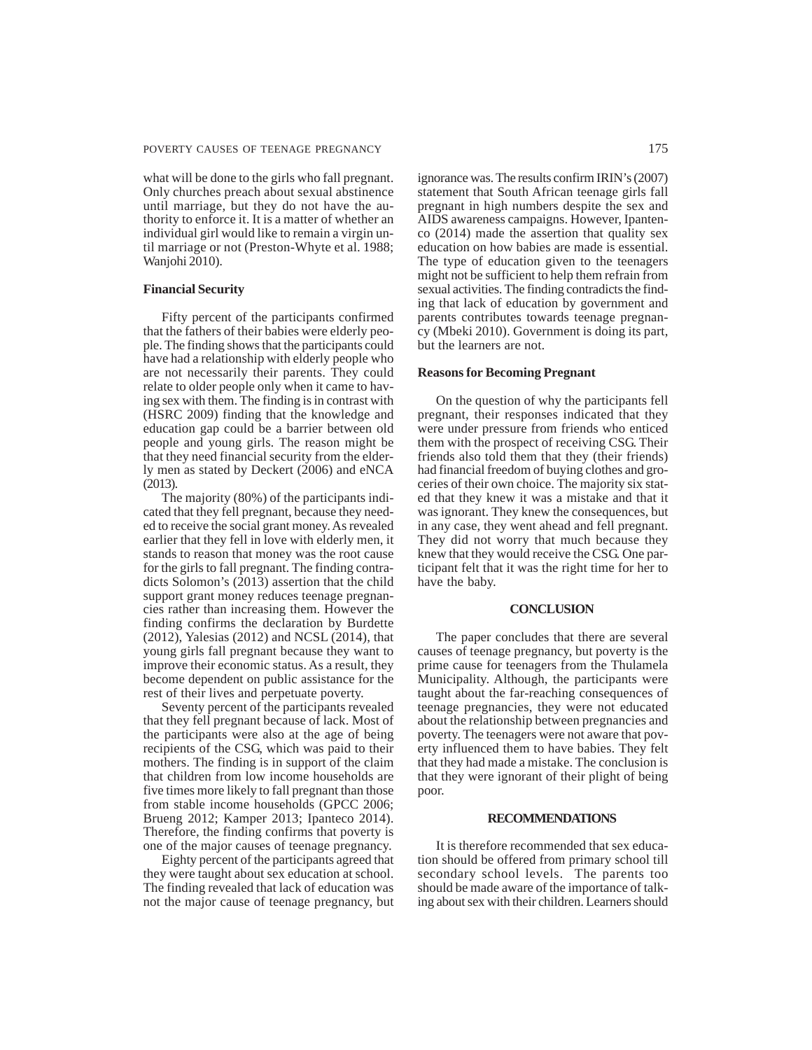what will be done to the girls who fall pregnant. Only churches preach about sexual abstinence until marriage, but they do not have the authority to enforce it. It is a matter of whether an individual girl would like to remain a virgin until marriage or not (Preston-Whyte et al. 1988; Wanjohi 2010).

#### **Financial Security**

Fifty percent of the participants confirmed that the fathers of their babies were elderly people. The finding shows that the participants could have had a relationship with elderly people who are not necessarily their parents. They could relate to older people only when it came to having sex with them. The finding is in contrast with (HSRC 2009) finding that the knowledge and education gap could be a barrier between old people and young girls. The reason might be that they need financial security from the elderly men as stated by Deckert (2006) and eNCA (2013).

The majority (80%) of the participants indicated that they fell pregnant, because they needed to receive the social grant money. As revealed earlier that they fell in love with elderly men, it stands to reason that money was the root cause for the girls to fall pregnant. The finding contradicts Solomon's (2013) assertion that the child support grant money reduces teenage pregnancies rather than increasing them. However the finding confirms the declaration by Burdette (2012), Yalesias (2012) and NCSL (2014), that young girls fall pregnant because they want to improve their economic status. As a result, they become dependent on public assistance for the rest of their lives and perpetuate poverty.

Seventy percent of the participants revealed that they fell pregnant because of lack. Most of the participants were also at the age of being recipients of the CSG, which was paid to their mothers. The finding is in support of the claim that children from low income households are five times more likely to fall pregnant than those from stable income households (GPCC 2006; Brueng 2012; Kamper 2013; Ipanteco 2014). Therefore, the finding confirms that poverty is one of the major causes of teenage pregnancy.

Eighty percent of the participants agreed that they were taught about sex education at school. The finding revealed that lack of education was not the major cause of teenage pregnancy, but ignorance was. The results confirm IRIN's (2007) statement that South African teenage girls fall pregnant in high numbers despite the sex and AIDS awareness campaigns. However, Ipantenco (2014) made the assertion that quality sex education on how babies are made is essential. The type of education given to the teenagers might not be sufficient to help them refrain from sexual activities. The finding contradicts the finding that lack of education by government and parents contributes towards teenage pregnancy (Mbeki 2010). Government is doing its part, but the learners are not.

#### **Reasons for Becoming Pregnant**

On the question of why the participants fell pregnant, their responses indicated that they were under pressure from friends who enticed them with the prospect of receiving CSG. Their friends also told them that they (their friends) had financial freedom of buying clothes and groceries of their own choice. The majority six stated that they knew it was a mistake and that it was ignorant. They knew the consequences, but in any case, they went ahead and fell pregnant. They did not worry that much because they knew that they would receive the CSG. One participant felt that it was the right time for her to have the baby.

#### **CONCLUSION**

The paper concludes that there are several causes of teenage pregnancy, but poverty is the prime cause for teenagers from the Thulamela Municipality. Although, the participants were taught about the far-reaching consequences of teenage pregnancies, they were not educated about the relationship between pregnancies and poverty. The teenagers were not aware that poverty influenced them to have babies. They felt that they had made a mistake. The conclusion is that they were ignorant of their plight of being poor.

#### **RECOMMENDATIONS**

It is therefore recommended that sex education should be offered from primary school till secondary school levels. The parents too should be made aware of the importance of talking about sex with their children. Learners should